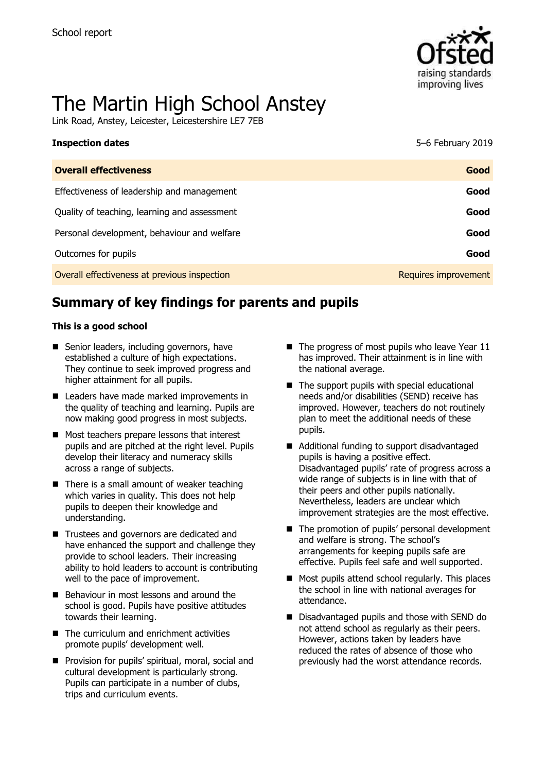

# The Martin High School Anstey

Link Road, Anstey, Leicester, Leicestershire LE7 7EB

| <b>Inspection dates</b>                      | 5-6 February 2019    |
|----------------------------------------------|----------------------|
| <b>Overall effectiveness</b>                 | Good                 |
| Effectiveness of leadership and management   | Good                 |
| Quality of teaching, learning and assessment | Good                 |
| Personal development, behaviour and welfare  | Good                 |
| Outcomes for pupils                          | Good                 |
| Overall effectiveness at previous inspection | Requires improvement |

# **Summary of key findings for parents and pupils**

#### **This is a good school**

- Senior leaders, including governors, have established a culture of high expectations. They continue to seek improved progress and higher attainment for all pupils.
- Leaders have made marked improvements in the quality of teaching and learning. Pupils are now making good progress in most subjects.
- Most teachers prepare lessons that interest pupils and are pitched at the right level. Pupils develop their literacy and numeracy skills across a range of subjects.
- $\blacksquare$  There is a small amount of weaker teaching which varies in quality. This does not help pupils to deepen their knowledge and understanding.
- Trustees and governors are dedicated and have enhanced the support and challenge they provide to school leaders. Their increasing ability to hold leaders to account is contributing well to the pace of improvement.
- Behaviour in most lessons and around the school is good. Pupils have positive attitudes towards their learning.
- The curriculum and enrichment activities promote pupils' development well.
- **Provision for pupils' spiritual, moral, social and** cultural development is particularly strong. Pupils can participate in a number of clubs, trips and curriculum events.
- $\blacksquare$  The progress of most pupils who leave Year 11 has improved. Their attainment is in line with the national average.
- $\blacksquare$  The support pupils with special educational needs and/or disabilities (SEND) receive has improved. However, teachers do not routinely plan to meet the additional needs of these pupils.
- Additional funding to support disadvantaged pupils is having a positive effect. Disadvantaged pupils' rate of progress across a wide range of subjects is in line with that of their peers and other pupils nationally. Nevertheless, leaders are unclear which improvement strategies are the most effective.
- The promotion of pupils' personal development and welfare is strong. The school's arrangements for keeping pupils safe are effective. Pupils feel safe and well supported.
- $\blacksquare$  Most pupils attend school regularly. This places the school in line with national averages for attendance.
- Disadvantaged pupils and those with SEND do not attend school as regularly as their peers. However, actions taken by leaders have reduced the rates of absence of those who previously had the worst attendance records.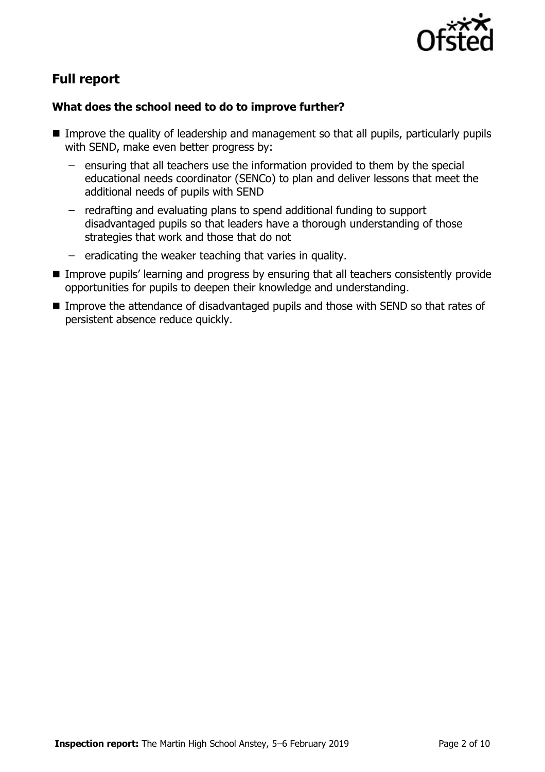

# **Full report**

### **What does the school need to do to improve further?**

- Improve the quality of leadership and management so that all pupils, particularly pupils with SEND, make even better progress by:
	- ensuring that all teachers use the information provided to them by the special educational needs coordinator (SENCo) to plan and deliver lessons that meet the additional needs of pupils with SEND
	- redrafting and evaluating plans to spend additional funding to support disadvantaged pupils so that leaders have a thorough understanding of those strategies that work and those that do not
	- eradicating the weaker teaching that varies in quality.
- **Improve pupils' learning and progress by ensuring that all teachers consistently provide** opportunities for pupils to deepen their knowledge and understanding.
- Improve the attendance of disadvantaged pupils and those with SEND so that rates of persistent absence reduce quickly.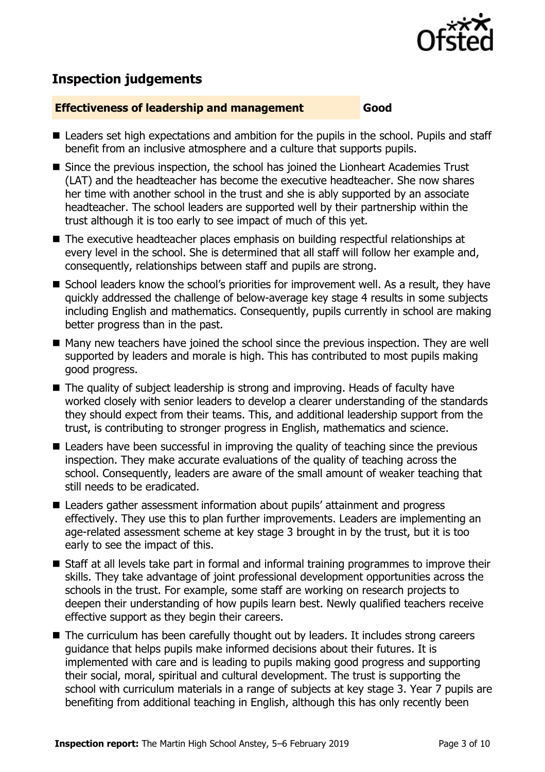

# **Inspection judgements**

#### **Effectiveness of leadership and management Good**

- Leaders set high expectations and ambition for the pupils in the school. Pupils and staff benefit from an inclusive atmosphere and a culture that supports pupils.
- Since the previous inspection, the school has joined the Lionheart Academies Trust (LAT) and the headteacher has become the executive headteacher. She now shares her time with another school in the trust and she is ably supported by an associate headteacher. The school leaders are supported well by their partnership within the trust although it is too early to see impact of much of this yet.
- The executive headteacher places emphasis on building respectful relationships at every level in the school. She is determined that all staff will follow her example and, consequently, relationships between staff and pupils are strong.
- School leaders know the school's priorities for improvement well. As a result, they have quickly addressed the challenge of below-average key stage 4 results in some subjects including English and mathematics. Consequently, pupils currently in school are making better progress than in the past.
- Many new teachers have joined the school since the previous inspection. They are well supported by leaders and morale is high. This has contributed to most pupils making good progress.
- The quality of subject leadership is strong and improving. Heads of faculty have worked closely with senior leaders to develop a clearer understanding of the standards they should expect from their teams. This, and additional leadership support from the trust, is contributing to stronger progress in English, mathematics and science.
- Leaders have been successful in improving the quality of teaching since the previous inspection. They make accurate evaluations of the quality of teaching across the school. Consequently, leaders are aware of the small amount of weaker teaching that still needs to be eradicated.
- Leaders gather assessment information about pupils' attainment and progress effectively. They use this to plan further improvements. Leaders are implementing an age-related assessment scheme at key stage 3 brought in by the trust, but it is too early to see the impact of this.
- Staff at all levels take part in formal and informal training programmes to improve their skills. They take advantage of joint professional development opportunities across the schools in the trust. For example, some staff are working on research projects to deepen their understanding of how pupils learn best. Newly qualified teachers receive effective support as they begin their careers.
- The curriculum has been carefully thought out by leaders. It includes strong careers guidance that helps pupils make informed decisions about their futures. It is implemented with care and is leading to pupils making good progress and supporting their social, moral, spiritual and cultural development. The trust is supporting the school with curriculum materials in a range of subjects at key stage 3. Year 7 pupils are benefiting from additional teaching in English, although this has only recently been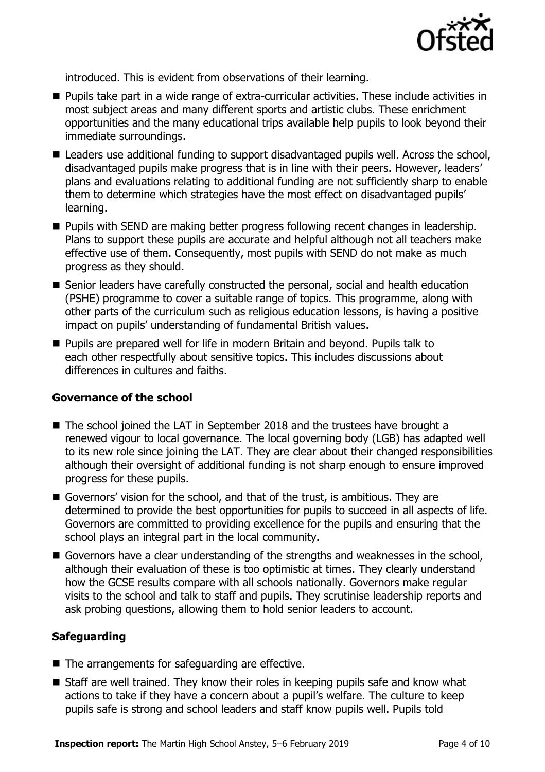

introduced. This is evident from observations of their learning.

- **Pupils take part in a wide range of extra-curricular activities. These include activities in** most subject areas and many different sports and artistic clubs. These enrichment opportunities and the many educational trips available help pupils to look beyond their immediate surroundings.
- Leaders use additional funding to support disadvantaged pupils well. Across the school, disadvantaged pupils make progress that is in line with their peers. However, leaders' plans and evaluations relating to additional funding are not sufficiently sharp to enable them to determine which strategies have the most effect on disadvantaged pupils' learning.
- **Pupils with SEND are making better progress following recent changes in leadership.** Plans to support these pupils are accurate and helpful although not all teachers make effective use of them. Consequently, most pupils with SEND do not make as much progress as they should.
- Senior leaders have carefully constructed the personal, social and health education (PSHE) programme to cover a suitable range of topics. This programme, along with other parts of the curriculum such as religious education lessons, is having a positive impact on pupils' understanding of fundamental British values.
- **Pupils are prepared well for life in modern Britain and beyond. Pupils talk to** each other respectfully about sensitive topics. This includes discussions about differences in cultures and faiths.

#### **Governance of the school**

- The school joined the LAT in September 2018 and the trustees have brought a renewed vigour to local governance. The local governing body (LGB) has adapted well to its new role since joining the LAT. They are clear about their changed responsibilities although their oversight of additional funding is not sharp enough to ensure improved progress for these pupils.
- Governors' vision for the school, and that of the trust, is ambitious. They are determined to provide the best opportunities for pupils to succeed in all aspects of life. Governors are committed to providing excellence for the pupils and ensuring that the school plays an integral part in the local community.
- Governors have a clear understanding of the strengths and weaknesses in the school, although their evaluation of these is too optimistic at times. They clearly understand how the GCSE results compare with all schools nationally. Governors make regular visits to the school and talk to staff and pupils. They scrutinise leadership reports and ask probing questions, allowing them to hold senior leaders to account.

#### **Safeguarding**

- The arrangements for safeguarding are effective.
- Staff are well trained. They know their roles in keeping pupils safe and know what actions to take if they have a concern about a pupil's welfare. The culture to keep pupils safe is strong and school leaders and staff know pupils well. Pupils told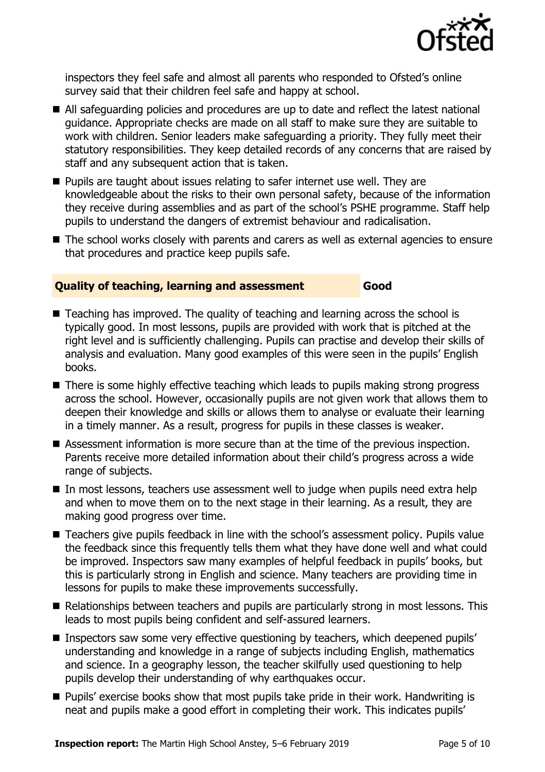

inspectors they feel safe and almost all parents who responded to Ofsted's online survey said that their children feel safe and happy at school.

- All safeguarding policies and procedures are up to date and reflect the latest national guidance. Appropriate checks are made on all staff to make sure they are suitable to work with children. Senior leaders make safeguarding a priority. They fully meet their statutory responsibilities. They keep detailed records of any concerns that are raised by staff and any subsequent action that is taken.
- **Pupils are taught about issues relating to safer internet use well. They are** knowledgeable about the risks to their own personal safety, because of the information they receive during assemblies and as part of the school's PSHE programme. Staff help pupils to understand the dangers of extremist behaviour and radicalisation.
- The school works closely with parents and carers as well as external agencies to ensure that procedures and practice keep pupils safe.

#### **Quality of teaching, learning and assessment Good**

- Teaching has improved. The quality of teaching and learning across the school is typically good. In most lessons, pupils are provided with work that is pitched at the right level and is sufficiently challenging. Pupils can practise and develop their skills of analysis and evaluation. Many good examples of this were seen in the pupils' English books.
- There is some highly effective teaching which leads to pupils making strong progress across the school. However, occasionally pupils are not given work that allows them to deepen their knowledge and skills or allows them to analyse or evaluate their learning in a timely manner. As a result, progress for pupils in these classes is weaker.
- Assessment information is more secure than at the time of the previous inspection. Parents receive more detailed information about their child's progress across a wide range of subjects.
- In most lessons, teachers use assessment well to judge when pupils need extra help and when to move them on to the next stage in their learning. As a result, they are making good progress over time.
- Teachers give pupils feedback in line with the school's assessment policy. Pupils value the feedback since this frequently tells them what they have done well and what could be improved. Inspectors saw many examples of helpful feedback in pupils' books, but this is particularly strong in English and science. Many teachers are providing time in lessons for pupils to make these improvements successfully.
- Relationships between teachers and pupils are particularly strong in most lessons. This leads to most pupils being confident and self-assured learners.
- **Inspectors saw some very effective questioning by teachers, which deepened pupils'** understanding and knowledge in a range of subjects including English, mathematics and science. In a geography lesson, the teacher skilfully used questioning to help pupils develop their understanding of why earthquakes occur.
- **Pupils'** exercise books show that most pupils take pride in their work. Handwriting is neat and pupils make a good effort in completing their work. This indicates pupils'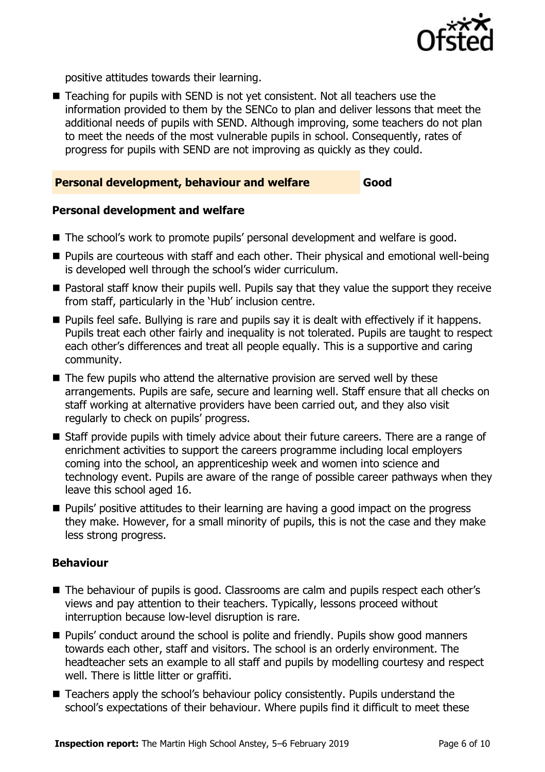

positive attitudes towards their learning.

■ Teaching for pupils with SEND is not yet consistent. Not all teachers use the information provided to them by the SENCo to plan and deliver lessons that meet the additional needs of pupils with SEND. Although improving, some teachers do not plan to meet the needs of the most vulnerable pupils in school. Consequently, rates of progress for pupils with SEND are not improving as quickly as they could.

#### **Personal development, behaviour and welfare Good**

#### **Personal development and welfare**

- The school's work to promote pupils' personal development and welfare is good.
- Pupils are courteous with staff and each other. Their physical and emotional well-being is developed well through the school's wider curriculum.
- **Pastoral staff know their pupils well. Pupils say that they value the support they receive** from staff, particularly in the 'Hub' inclusion centre.
- **Pupils feel safe. Bullying is rare and pupils say it is dealt with effectively if it happens.** Pupils treat each other fairly and inequality is not tolerated. Pupils are taught to respect each other's differences and treat all people equally. This is a supportive and caring community.
- $\blacksquare$  The few pupils who attend the alternative provision are served well by these arrangements. Pupils are safe, secure and learning well. Staff ensure that all checks on staff working at alternative providers have been carried out, and they also visit regularly to check on pupils' progress.
- Staff provide pupils with timely advice about their future careers. There are a range of enrichment activities to support the careers programme including local employers coming into the school, an apprenticeship week and women into science and technology event. Pupils are aware of the range of possible career pathways when they leave this school aged 16.
- **Pupils'** positive attitudes to their learning are having a good impact on the progress they make. However, for a small minority of pupils, this is not the case and they make less strong progress.

#### **Behaviour**

- The behaviour of pupils is good. Classrooms are calm and pupils respect each other's views and pay attention to their teachers. Typically, lessons proceed without interruption because low-level disruption is rare.
- **Pupils'** conduct around the school is polite and friendly. Pupils show good manners towards each other, staff and visitors. The school is an orderly environment. The headteacher sets an example to all staff and pupils by modelling courtesy and respect well. There is little litter or graffiti.
- Teachers apply the school's behaviour policy consistently. Pupils understand the school's expectations of their behaviour. Where pupils find it difficult to meet these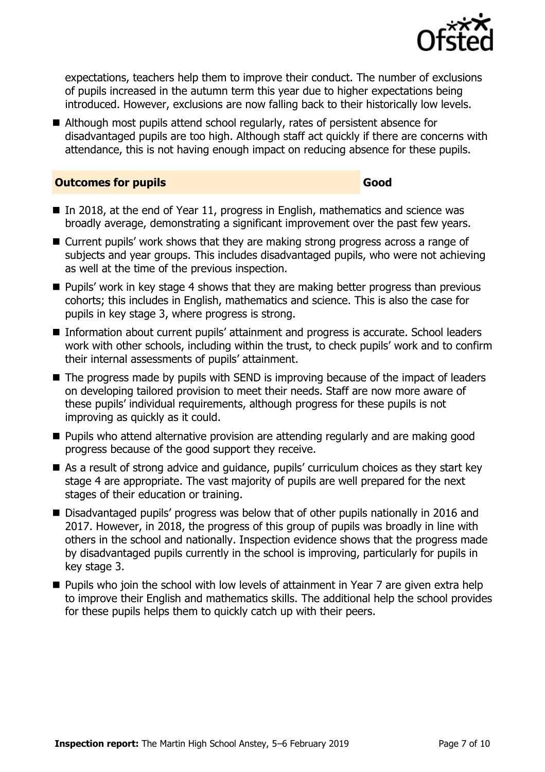

expectations, teachers help them to improve their conduct. The number of exclusions of pupils increased in the autumn term this year due to higher expectations being introduced. However, exclusions are now falling back to their historically low levels.

■ Although most pupils attend school regularly, rates of persistent absence for disadvantaged pupils are too high. Although staff act quickly if there are concerns with attendance, this is not having enough impact on reducing absence for these pupils.

#### **Outcomes for pupils Good Good**

- In 2018, at the end of Year 11, progress in English, mathematics and science was broadly average, demonstrating a significant improvement over the past few years.
- Current pupils' work shows that they are making strong progress across a range of subjects and year groups. This includes disadvantaged pupils, who were not achieving as well at the time of the previous inspection.
- **Pupils'** work in key stage 4 shows that they are making better progress than previous cohorts; this includes in English, mathematics and science. This is also the case for pupils in key stage 3, where progress is strong.
- Information about current pupils' attainment and progress is accurate. School leaders work with other schools, including within the trust, to check pupils' work and to confirm their internal assessments of pupils' attainment.
- The progress made by pupils with SEND is improving because of the impact of leaders on developing tailored provision to meet their needs. Staff are now more aware of these pupils' individual requirements, although progress for these pupils is not improving as quickly as it could.
- **Pupils who attend alternative provision are attending regularly and are making good** progress because of the good support they receive.
- As a result of strong advice and guidance, pupils' curriculum choices as they start key stage 4 are appropriate. The vast majority of pupils are well prepared for the next stages of their education or training.
- Disadvantaged pupils' progress was below that of other pupils nationally in 2016 and 2017. However, in 2018, the progress of this group of pupils was broadly in line with others in the school and nationally. Inspection evidence shows that the progress made by disadvantaged pupils currently in the school is improving, particularly for pupils in key stage 3.
- $\blacksquare$  Pupils who join the school with low levels of attainment in Year 7 are given extra help to improve their English and mathematics skills. The additional help the school provides for these pupils helps them to quickly catch up with their peers.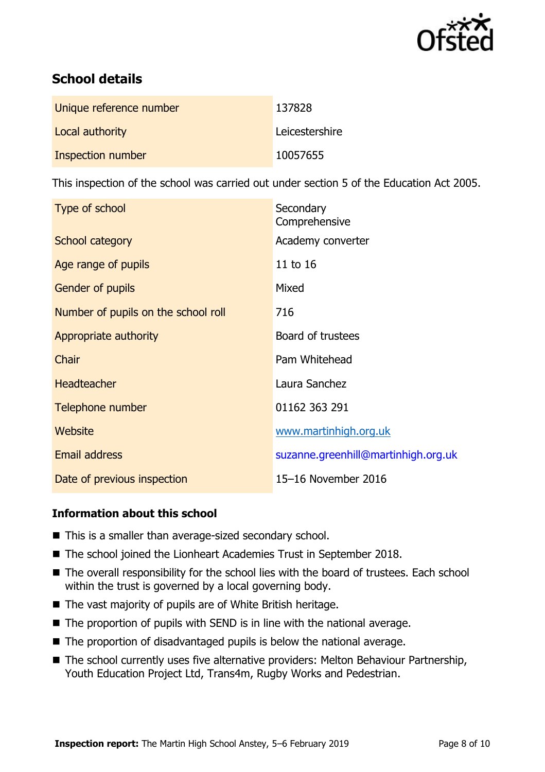

# **School details**

| Unique reference number | 137828         |
|-------------------------|----------------|
| Local authority         | Leicestershire |
| Inspection number       | 10057655       |

This inspection of the school was carried out under section 5 of the Education Act 2005.

| Type of school                      | Secondary<br>Comprehensive          |
|-------------------------------------|-------------------------------------|
| School category                     | Academy converter                   |
| Age range of pupils                 | 11 to 16                            |
| <b>Gender of pupils</b>             | Mixed                               |
| Number of pupils on the school roll | 716                                 |
| Appropriate authority               | Board of trustees                   |
| Chair                               | Pam Whitehead                       |
| <b>Headteacher</b>                  | Laura Sanchez                       |
| Telephone number                    | 01162 363 291                       |
| Website                             | www.martinhigh.org.uk               |
| <b>Email address</b>                | suzanne.greenhill@martinhigh.org.uk |
| Date of previous inspection         | 15-16 November 2016                 |

#### **Information about this school**

- This is a smaller than average-sized secondary school.
- The school joined the Lionheart Academies Trust in September 2018.
- The overall responsibility for the school lies with the board of trustees. Each school within the trust is governed by a local governing body.
- The vast majority of pupils are of White British heritage.
- The proportion of pupils with SEND is in line with the national average.
- $\blacksquare$  The proportion of disadvantaged pupils is below the national average.
- The school currently uses five alternative providers: Melton Behaviour Partnership, Youth Education Project Ltd, Trans4m, Rugby Works and Pedestrian.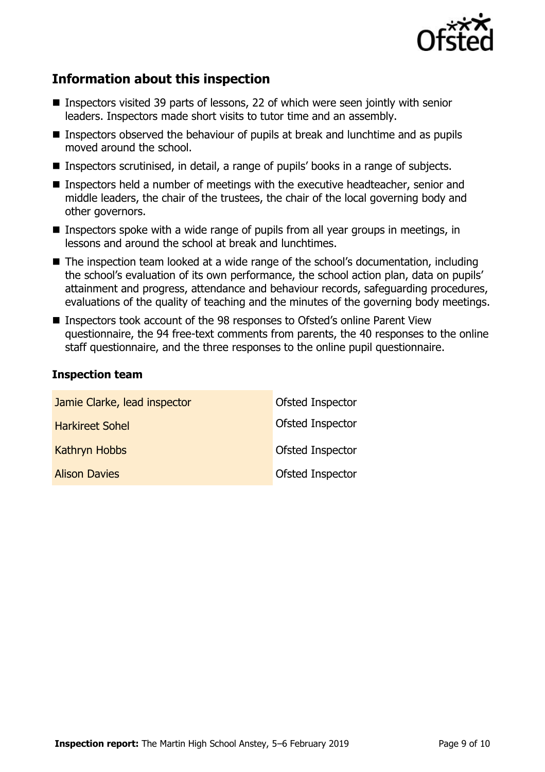

## **Information about this inspection**

- Inspectors visited 39 parts of lessons, 22 of which were seen jointly with senior leaders. Inspectors made short visits to tutor time and an assembly.
- Inspectors observed the behaviour of pupils at break and lunchtime and as pupils moved around the school.
- Inspectors scrutinised, in detail, a range of pupils' books in a range of subjects.
- **Inspectors held a number of meetings with the executive headteacher, senior and** middle leaders, the chair of the trustees, the chair of the local governing body and other governors.
- **Inspectors spoke with a wide range of pupils from all year groups in meetings, in** lessons and around the school at break and lunchtimes.
- The inspection team looked at a wide range of the school's documentation, including the school's evaluation of its own performance, the school action plan, data on pupils' attainment and progress, attendance and behaviour records, safeguarding procedures, evaluations of the quality of teaching and the minutes of the governing body meetings.
- Inspectors took account of the 98 responses to Ofsted's online Parent View questionnaire, the 94 free-text comments from parents, the 40 responses to the online staff questionnaire, and the three responses to the online pupil questionnaire.

#### **Inspection team**

| Jamie Clarke, lead inspector | Ofsted Inspector |
|------------------------------|------------------|
| <b>Harkireet Sohel</b>       | Ofsted Inspector |
| <b>Kathryn Hobbs</b>         | Ofsted Inspector |
| <b>Alison Davies</b>         | Ofsted Inspector |